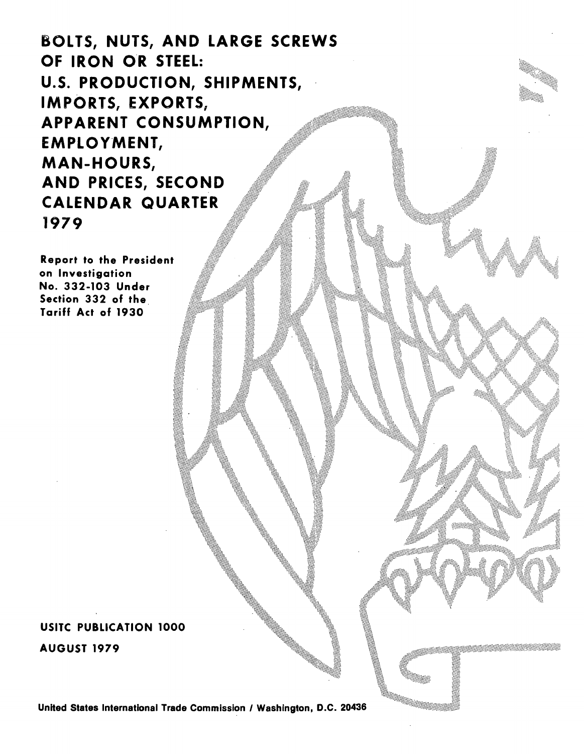BOLTS, NUTS, AND LARGE SCREWS OF IRON OR STEEL: U.S. PRODUCTION, SHIPMENTS, IMPORTS, EXPORTS, APPARENT CONSUMPTION, EMPLOYMENT, MAN-HOURS, AND PRICES, SECOND CALENDAR QUARTER 1979

Report to the President on Investigation No. 332-103 Under Section 332 of the. Tariff Act of 1930

# USITC PUBLICATION 1000 AUGUST 1979

United States International Trade Commission / Washington, D.C. 20436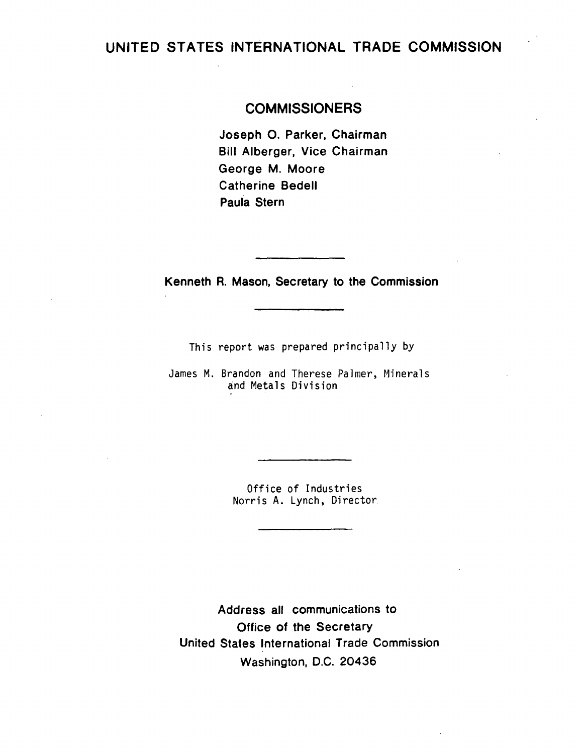## UNITED STATES INTERNATIONAL TRADE COMMISSION

### **COMMISSIONERS**

Joseph 0. Parker, Chairman Bill Alberger, Vice Chairman George M. Moore Catherine Bedell Paula Stern

Kenneth R. Mason, Secretary to the Commission

This report was prepared principally by

James M. Brandon and Therese Palmer, Minerals and Metals Division

> Office of Industries Norris A. Lynch, Director

Address all communications to Office of the Secretary United States International Trade Commission Washington, D.C. 20436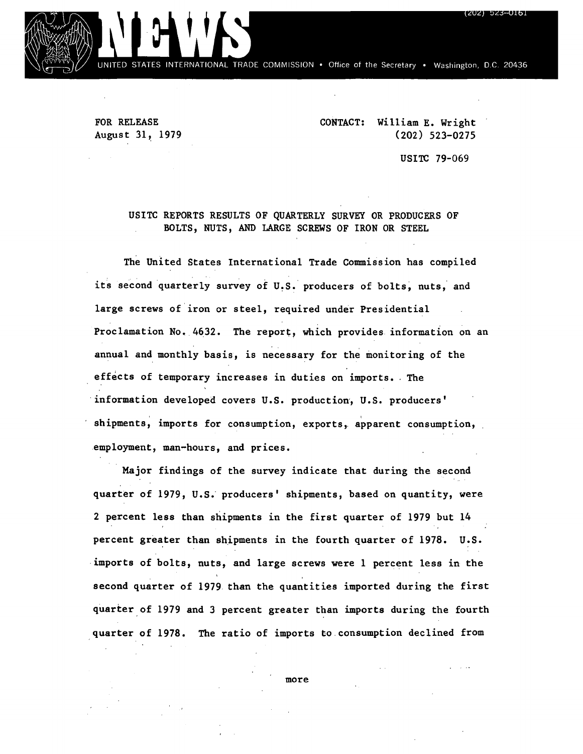

FOR RELEASE August 31~ 1979 CONTACT: William E. Wright (202) 523-0275

USITC 79-069

USITC REPORTS RESULTS OF QUARTERLY SURVEY OR PRODUCERS OF BOLTS, NUTS, AND LARGE SCREWS OF IRON OR STEEL

The United States International Trade Commission has compiled its second quarterly survey of U.S. producers of bolts, nuts, and large screws of iron or steel, required under Presidential Proclamation No. 4632. The report, which provides information on an annual and monthly basis, is necessary for the monitoring of the effects of temporary increases in duties on imports. The information developed covers U.S. production, U.S. producers' shipments, imports for consumption, exports, apparent consumption, employment, man-hours, and prices.

Major findings of the survey indicate that during the second quarter of 1979, U.S. producers' shipments, based on quantity, were 2 percent less than shipments in the first quarter of 1979 but 14 percent greater than shipments in the fourth quarter of 1978. U.S. imports of bolts, nuts, and large screws were 1 percent less in the second quarter of 1979 than the quantities imported during the first quarter of 1979 and 3 percent greater than imports during the fourth quarter of 1978. The ratio of imports to consumption declined from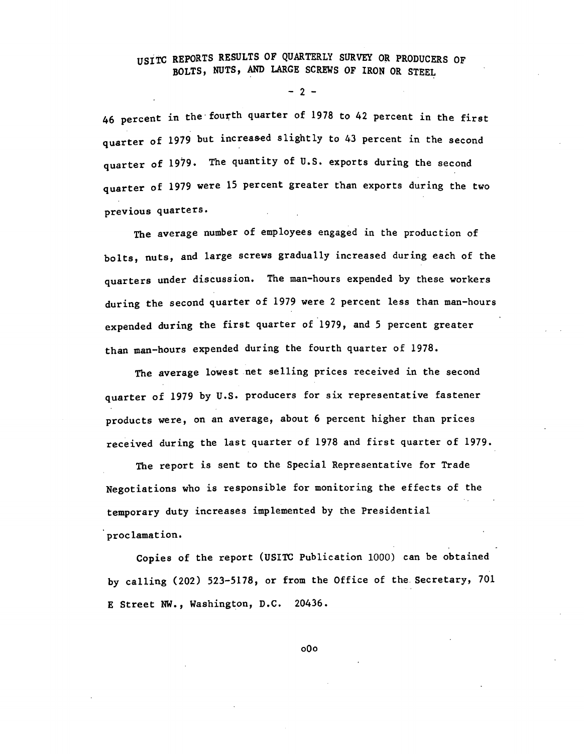### usitc REPORTS RESULTS OF QUARTERLY SURVEY OR PRODUCERS OF BOLTS, NUTS, AND LARGE SCREWS OF IRON OR STEEL

 $2 -$ 

46 percent in the fourth quarter of 1978 to 42 percent in the first quarter of 1979 but increased slightly to 43 percent in the second quarter of 1979. The quantity of U.S. exports during the second quarter of 1979 were 15 percent greater than exports during the two previous quarters.

The average number of employees engaged in the production of bolts, nuts, and large screws gradually increased during each of the quarters under discussion. The man-hours expended by these workers during the second quarter of 1979 were 2 percent less than man-hours expended during the first quarter of 1979, and 5 percent greater than man-hours expended during the fourth quarter of 1978.

The average lowest net selling prices received in the second quarter of 1979 by U.S. producers for six representative fastener products were, on an average, about 6 percent higher than prices received during the last quarter of 1978 and first quarter of 1979.

The report is sent to the Special Representative for Trade Negotiations who is responsible for monitoring the effects of the temporary duty increases implemented by the Presidential proclamation.

Copies of the report (USITC Publication 1000) can be obtained by calling (202) 523-5178, or from the Office of the. Secretary, 701 E Street NW., Washington, D.C. 20436.

oOo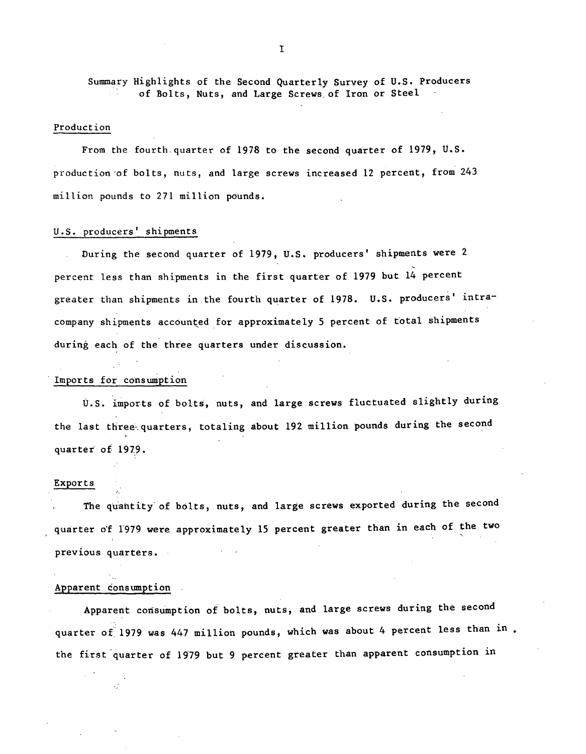Summary Highlights of the Second Quarterly Survey of U.S. Producers of Bolts, Nuts, and Large Screws.of Iron or Steel

#### Production

From the fourth.quarter of 1978 to the second quarter of 1979, U.S. production ·of bolts, nuts, and large screws increased 12 percent, from 243 million pounds to 271 million pounds.

### U.S. producers' shipments

During the second quarter of 1979, U.S. producers' shipments were 2 percent less than shipments in the first quarter of 1979 but 14 percent greater than shipments in the fourth quarter of 1978. U.S. producers' intracompany shipments accounted for approximately 5 percent of total shipments during each of the three quarters under discussion.

#### Imports for consumption

U.S. imports of bolts, nuts, and large screws fluctuated slightly during the last three-quarters, totaling about 192 million pounds during the second quarter of 1979.

#### Exports

The quantity of bolts, nuts, and large screws exported during the second quarter of 1979 were approximately 15 percent greater than in each of the two previous quarters.

#### Apparent consumption

Apparent consumption of bolts, nuts, and large screws during the second quarter of 1979 was 447 million pounds, which was about 4 percent less than in. the first quarter of 1979 but 9 percent greater than apparent consumption in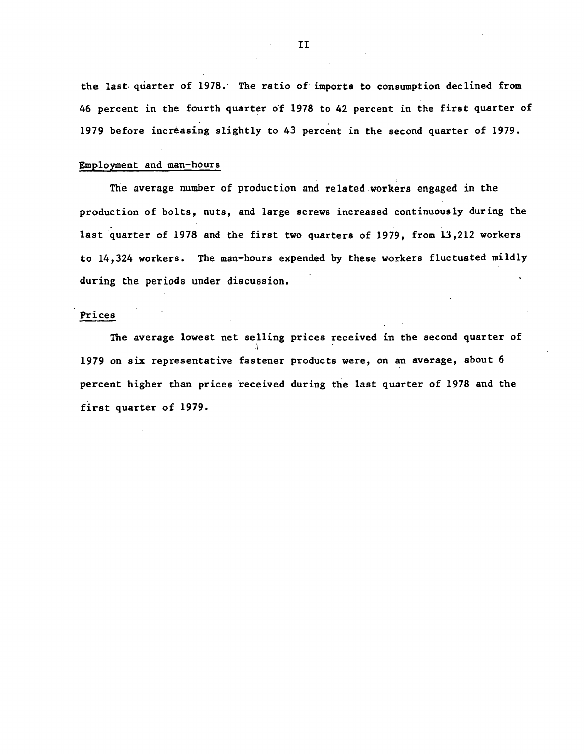the last- quarter of 1978. The ratio of imports to consumption declined from 46 percent in the fourth quarter of 1978 to 42 percent in the first quarter of 1979 before increasing slightly to 43 percent in the second quarter of 1979.

### Employment and man-hours

The average number of production and related workers engaged in the production of bolts, nuts, and large screws increased continuously during the last quarter of 1978 and the first two quarters of 1979, from 13,212 workers to 14,324 workers. The man-hours expended by these workers fluctuated mildly during the periods under discussion.

### Prices

The average lowest net selling prices received in the second quarter of 1979 on six representative fastener products were, on an average, about 6 percent higher than prices received during the last quarter of 1978 and the first quarter of 1979.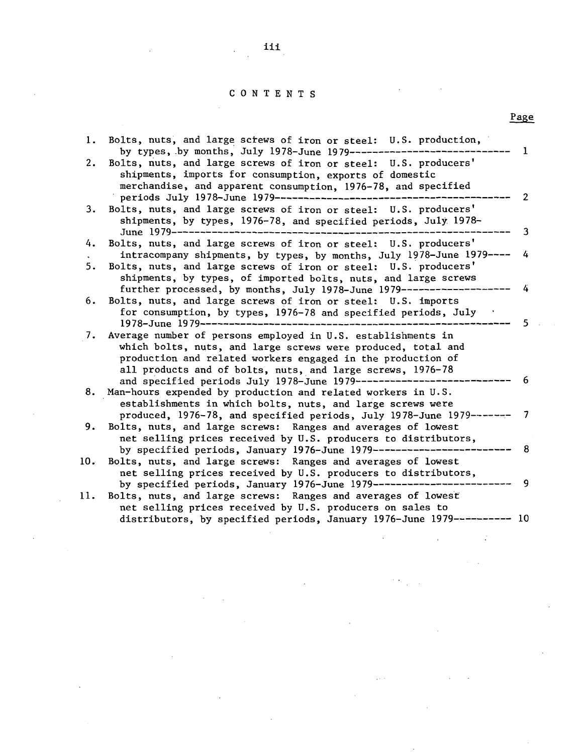### C 0 N T E N T S

Page

| 1.  | Bolts, nuts, and large screws of iron or steel: U.S. production,<br>by types, by months, July 1978-June 1979----------               | 1              |
|-----|--------------------------------------------------------------------------------------------------------------------------------------|----------------|
| 2.  | Bolts, nuts, and large screws of iron or steel: U.S. producers'                                                                      |                |
|     | shipments, imports for consumption, exports of domestic<br>merchandise, and apparent consumption, 1976-78, and specified             |                |
| 3.  | periods July 1978-June 1979----------------<br>Bolts, nuts, and large screws of iron or steel: U.S. producers'                       | $\overline{2}$ |
|     | shipments, by types, 1976-78, and specified periods, July 1978-<br>June 1979-----                                                    | 3              |
| 4.  | Bolts, nuts, and large screws of iron or steel: U.S. producers'                                                                      |                |
|     | intracompany shipments, by types, by months, July 1978-June 1979----                                                                 | 4              |
| 5.  | Bolts, nuts, and large screws of iron or steel: U.S. producers'                                                                      |                |
|     | shipments, by types, of imported bolts, nuts, and large screws                                                                       |                |
|     | further processed, by months, July 1978-June 1979-------------------                                                                 | - 4            |
| 6.  | Bolts, nuts, and large screws of iron or steel: U.S. imports                                                                         |                |
|     | for consumption, by types, 1976-78 and specified periods, July                                                                       |                |
|     | 1978-June 1979------------                                                                                                           | -5             |
| 7.  | Average number of persons employed in U.S. establishments in<br>which bolts, nuts, and large screws were produced, total and         |                |
|     | production and related workers engaged in the production of                                                                          |                |
|     | all products and of bolts, nuts, and large screws, 1976-78                                                                           |                |
|     | and specified periods July 1978-June 1979 ----                                                                                       | 6              |
|     | 8. Man-hours expended by production and related workers in U.S.                                                                      |                |
|     | establishments in which bolts, nuts, and large screws were                                                                           |                |
|     | produced, 1976-78, and specified periods, July 1978-June 1979------                                                                  | $\overline{7}$ |
| 9.  | Bolts, nuts, and large screws: Ranges and averages of lowest                                                                         |                |
|     | net selling prices received by U.S. producers to distributors,                                                                       | 8              |
| 10. | by specified periods, January 1976-June 1979------------------------<br>Bolts, nuts, and large screws: Ranges and averages of lowest |                |
|     | net selling prices received by U.S. producers to distributors,                                                                       |                |
|     | by specified periods, January 1976-June 1979---------                                                                                | 9              |
| 11. | Bolts, nuts, and large screws: Ranges and averages of lowest                                                                         |                |
|     | net selling prices received by U.S. producers on sales to                                                                            |                |
|     | distributors, by specified periods, January 1976-June 1979---------- 10                                                              |                |

iii

 $\ddot{\phantom{a}}$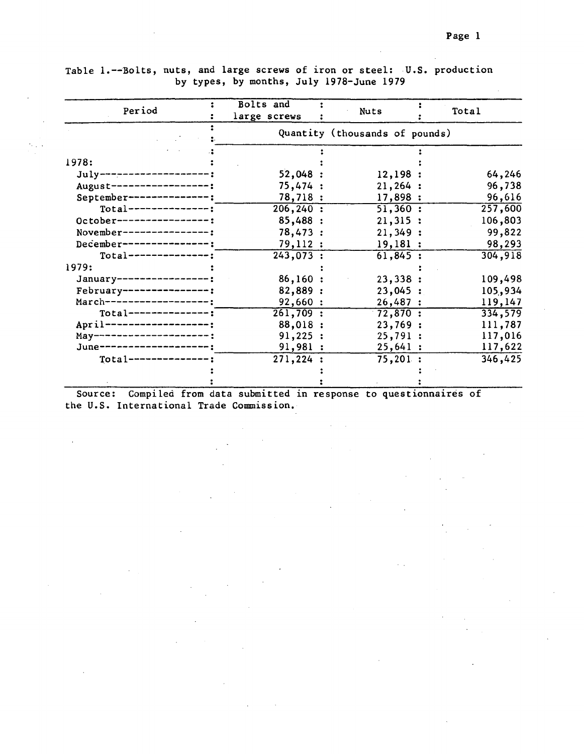Table !.-~Bolts, nuts, and large screws of iron or steel: U.S. production by types, by months, July 1978-June 1979

|                      | Bolts and              |                                |         |         |
|----------------------|------------------------|--------------------------------|---------|---------|
| Period               | large screws           | <b>Nuts</b>                    |         | Total   |
|                      |                        | Quantity (thousands of pounds) |         |         |
|                      |                        |                                |         |         |
| 1978:                |                        |                                |         |         |
| July---------------  | 52,048:                |                                | 12,198: | 64,246  |
| August-------------- | 75,474:                |                                | 21,264: | 96,738  |
| September--          | 78,718 :               |                                | 17,898: | 96,616  |
| Total-               | 206, 240:              |                                | 51,360: | 257,600 |
| October--            | 85,488 :               |                                | 21,315: | 106,803 |
| November---          | 78,473:                |                                | 21,349: | 99,822  |
| $December-$          | 79,112 :               |                                | 19,181: | 98,293  |
| $Total-----$         | 243,073:               |                                | 61,845: | 304,918 |
| 1979:                |                        |                                |         |         |
| January-             | 86,160:                |                                | 23,338: | 109,498 |
| February-            | 82,889 :               |                                | 23,045: | 105,934 |
| March----            | 92,660:                |                                | 26,487: | 119,147 |
| $Total-----$         | $\overline{261,709}$ : | 72,870:                        |         | 334,579 |
| $April-----$         | 88,018 :               |                                | 23,769: | 111,787 |
| $May------$          | 91,225:                |                                | 25,791: | 117,016 |
| June--------         | 91,981:                |                                | 25,641: | 117,622 |
| $Total-----$         | 271,224 :              |                                | 75,201: | 346,425 |
|                      |                        |                                |         |         |
|                      |                        |                                |         |         |

Source: Compiled from data submitted in response to questionnaires of the U.S. International Trade Commission.

 $\mathbb{R}^n$  .

 $\bar{z}$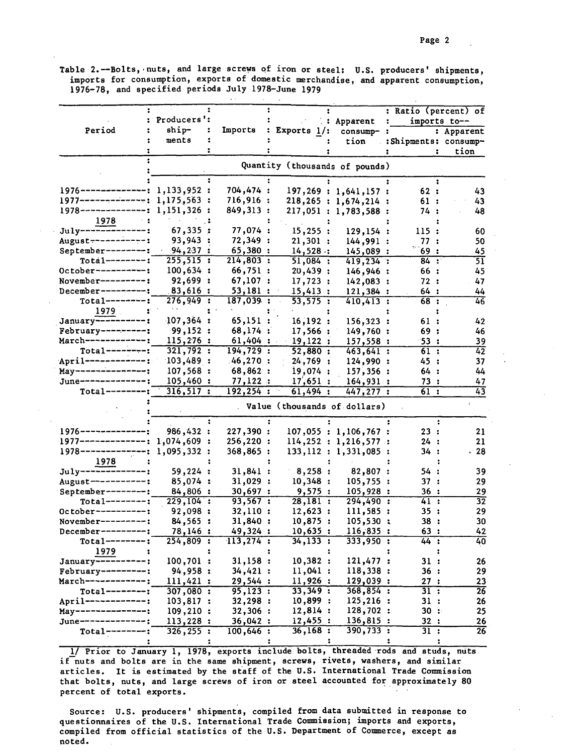Table 2.--Bolts, ·nuts, and large screws of iron or steel: U.S. producers' shipments, imports for consumption, exports of domestic merchandise, and apparent consumption, 1976-78, and specified periods July 1978-June 1979

|                                    |             |            |                                |                          | : Ratio (percent) of                 |                 |
|------------------------------------|-------------|------------|--------------------------------|--------------------------|--------------------------------------|-----------------|
|                                    | Producers': |            |                                | Apparent                 | imports to--<br>$\ddot{\phantom{a}}$ |                 |
| Period                             | ship-       | Imports    | : Exports $1$ :                | consump- :               |                                      | : Apparent      |
|                                    | ments       |            |                                | tion                     | :Shipments: consump-                 |                 |
|                                    |             |            |                                |                          | ÷                                    | tion            |
|                                    |             |            |                                |                          |                                      |                 |
|                                    |             |            | Quantity (thousands of pounds) |                          |                                      |                 |
|                                    |             |            |                                |                          | $\ddot{\phantom{a}}$                 |                 |
| -------------------                | 1,133,952:  | 704,474:   |                                | 197, 269 : 1, 641, 157 : | 62 :                                 | 43              |
| $1977$ --------------: 1,175,563 : |             | 716,916 :  |                                | 218,265 : 1,674,214 :    | 61:                                  | 43              |
| 1978--------------:                | 1,151,326   | 849,313:   |                                | 217,051 : 1,783,588 :    | 74 :                                 | 48              |
| 1978                               |             |            |                                |                          |                                      |                 |
| July-----                          | 67,335:     | 77,074 :   | 15,255:                        | 129, 154:                | 115:                                 | 60              |
| $August-----$                      | 93,943      | 72,349:    | 21,301:                        | 144,991:                 | 77 :                                 | 50              |
| September--------:                 | $-94,237:$  | 65,380:    | 14,528:                        | 145,089:                 | 69:                                  | 45              |
| <b>Total--------:</b>              | 255,515:    | 214,803:   | 51,084:                        | 419,234:                 | 84 :                                 | 51              |
| $0$ ctober----------:              | 100,634:    | 66,751 :   |                                |                          |                                      |                 |
|                                    | 92,699 :    |            | 20,439:                        | 146,946:                 | 66 :                                 | 45              |
| November---------:                 |             | 67,107:    | 17,723:                        | 142,083:                 | 72 :                                 | 47              |
| $December-----$                    | .83,616:    | 53,181:    | 15,413:                        | 121,384:                 | 64 :                                 | 44              |
| $Total-----:$                      | 276,949:    | 187,039:   | 53,575:                        | $410,413$ :              | 68 :                                 | 46              |
| 1979                               |             |            |                                |                          |                                      |                 |
| $January----------$                | 107,364:    | 65,151:    | 16, 192:                       | 156,323:                 | 61 :                                 | 42              |
| $February-----$                    | 99,152:     | 68, 174:   | 17,566:                        | 149,760:                 | 69:                                  | 46              |
| $March-----:$                      | 115,276:    | $61,404$ : | 19,122:                        | 157,558:                 | 53:                                  | 39              |
| Total-------- <b>:</b>             | 321,792:    | 194,729:   | 52,880:                        | 463, 641:                | 61 :                                 | $\overline{42}$ |
| April------------:                 | 103,489:    | .46,270:   | 24,769:                        | 124,990:                 | 45 :                                 | 37              |
| May---------------:                | 107,568:    | 68,862:    | 19,074:                        | 157,356:                 | 64 :                                 | 44              |
| June-------------;                 | 105,460:    | 77,122:    | 17,651:                        | 164,931:                 | 73:                                  | 47              |
| $Total-----:$                      | 316, 517:   | 192, 254:  | 61,494:                        | 447,277 :                | 61 :                                 | 43              |
|                                    |             |            |                                |                          |                                      |                 |
|                                    |             |            | Value (thousands of dollars)   |                          |                                      |                 |
|                                    |             |            |                                |                          |                                      |                 |
| -------------------                | 986,432 :   | 227,390:   |                                | 107,055 : 1,106,767 :    | 23:                                  | 21              |
| $1977$ --------------:             | 1,074,609:  | 256,220:   |                                | 114,252 : 1,216,577 :    | 24 :                                 | 21              |
| $1978$ --------------;             | 1,095,332:  | 368,865:   |                                | 133, 112 : 1, 331, 085   | 34 :<br>- 2                          | . 28            |
| 1978                               |             |            |                                |                          |                                      |                 |
| July-----                          | 59,224:     | 31,841:    | 8,258:                         | 82,807:                  | 54 :                                 | 39              |
| $August$ -----------:              | 85,074:     | 31,029:    | 10,348:                        | 105,755:                 | 37 :                                 | 29              |
| September--------:                 | 84,806:     | 30,697:    | 9,575:                         | 105,928:                 | 36 :                                 | 29              |
| <b>Total--------:</b>              | 229,104:    | 93,567:    | 28,181:                        | 294,490:                 | 41 :                                 | 32              |
| $0$ c tober---------               | 92,098:     | 32,110:    | 12,623:                        | 111,585:                 | 35:                                  | 29              |
| November---------:                 | 84,565:     | 31,840:    | 10,875:                        | 105,530:                 | 38:                                  | 30              |
|                                    |             |            |                                |                          |                                      |                 |
| December---------:                 | 78,146 :    | 49,324 :   | 10,635:                        | 116,835:                 | 63 :                                 | 42              |
| $Total-----:$                      | 254,809:    | 113,274:   | 34,133:                        | 333,950:                 | 44:                                  | 40              |
| 1979                               |             |            |                                |                          |                                      |                 |
| January----------:                 | 100,701:    | 31,158:    | 10,382:                        | 121,477 :                | 31 :                                 | 26              |
| $February-----$                    | 94,958 :    | 34,421:    | 11,041:                        | 118,338:                 | 36:                                  | 29              |
| March----------                    | 111,421:    | 29,544:    | 11,926:                        | 129,039:                 | 27:                                  | 23              |
| $Total-----:$                      | 307,080 :   | 95, 123:   | 33,349:                        | 368,854:                 | 31 :                                 | $\overline{26}$ |
| April -------------:               | 103,817:    | 32,298:    | 10,899:                        | 125,216:                 | 31:                                  | 26              |
| May---------------:                | 109,210:    | 32,306:    | 12,814 :                       | 128,702 :                | 30:                                  | 25              |
| June-------------;                 | 113,228:    | 36,042:    | 12,455:                        | 136,815:                 | 32:                                  | 26              |
| $Total-----:$                      | 326, 255:   | 100,646:   | 36, 168:                       | 390,733:                 | 31:                                  | $\overline{26}$ |
|                                    |             |            |                                |                          | ፡                                    |                 |

1/ Prior to January 1, 1978, exports include bolts, threaded rods and studs, nuts if nuts and bolts are in the same shipment, screws, rivets, washers, and similar articles. It is estimated by the staff of the U.S. International Trade Commission that bolts, nuts, and large screws of iron or steel accounted for approximately 80 percent of total exports.

Source: U.S. producers' shipments, compiled from data submitted in response to questionnaires of the U.S. International Trade Commission; imports and exports, compiled from official statistics of the U.S. Department of Commerce, except as noted.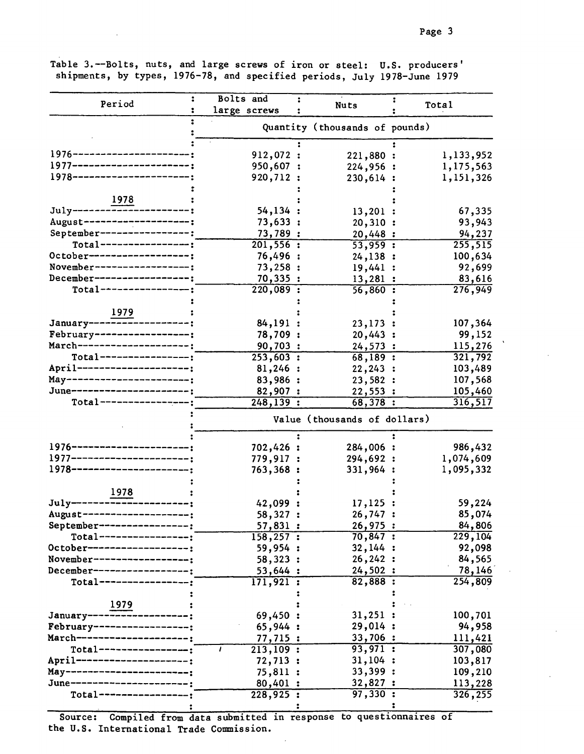Table 3.--Bolts, nuts, and large screws of iron or steel: U.S. producers' shipments, by types, 1976-78, and specified periods, July 1978-June 1979

|                            | Bolts and    |                                |           |
|----------------------------|--------------|--------------------------------|-----------|
| Period                     | large screws | <b>Nuts</b>                    | Total     |
|                            |              | Quantity (thousands of pounds) |           |
|                            |              |                                |           |
| $1976 - - - - - - - - - -$ | 912,072 :    | 221,880:                       | 1,133,952 |
| 1977------------------     | 950,607 :    | 224,956 :                      | 1,175,563 |
| $1978$ ----------          | 920,712 :    | 230,614                        | 1,151,326 |
|                            |              |                                |           |
| July--------------         | 54,134       | 13,201                         | 67,335    |
| August-------------------  | 73,633:      | 20,310:                        | 93,943    |
| September----------------  | 73,789:      | 20,448:                        | 94,237    |
| Total-----------------;    | 201,556:     | $\overline{53,959}$ :          | 255,515   |
| October--------------      | 76,496 :     | 24,138:                        | 100,634   |
| November--------------     | 73,258:      |                                | 92,699    |
| December-------------      |              | 19,441:                        |           |
| Total--------------        | 70,335:      | 13,281:                        | 83,616    |
|                            | 220,089:     | 56,860:                        | 276,949   |
|                            |              |                                |           |
| $\frac{1979}{2000}$        |              |                                |           |
| January---                 | 84,191 :     | 23,173:                        | 107,364   |
| February---------------    | 78,709:      | 20,443:                        | 99,152    |
| March------------------    | 90,703 :     | 24,573:                        | 115,276   |
| $Total-----$               | 253,603:     | 68,189:                        | 321,792   |
| April--------------------- | 81,246:      | 22, 243:                       | 103,489   |
| May--------------------    | 83,986 :     | 23,582:                        | 107,568   |
| June------------------     | 82,907 :     | 22,553:                        | 105,460   |
| $Total-----$               | 248, 139:    | 68,378:                        | 316, 517  |
|                            |              | Value (thousands of dollars)   |           |
|                            |              |                                |           |
| 1976--------------------   | 702,426 :    | 284,006 :                      | 986,432   |
| 1977--------------------   | 779,917 :    | 294,692 :                      | 1,074,609 |
| 1978--------------------   | 763,368 :    | 331,964:                       | 1,095,332 |
|                            |              |                                |           |
| 1978                       |              |                                |           |
| July-                      | 42,099       | 17,125                         | 59,224    |
| August-----                | 58,327       | 26,747                         | 85,074    |
| September----------------; | 57,831:      | 26,975:                        | 84,806    |
| Total---------------       | 158, 257:    | 70,847:                        | 229,104   |
| 0ctober-----------------   | 59,954 :     | 32,144:                        | 92,098    |
| November----------------   | 58,323:      | 26,242:                        | 84,565    |
| December--------------     | 53,644:      | 24,502:                        | 78,146    |
| Total-------------         | 171,921:     | 82,888 :                       | 254,809   |
|                            |              |                                |           |
| 1979<br>January-           |              | 31,251:                        | 100,701   |
| February--------------     | 69,450       |                                |           |
| March-----------------     | 65,944:      | 29,014:                        | 94,958    |
|                            | 77,715 :     | 33,706:                        | 111,421   |
| $Total-----$               | 213,109:     | 93,971 :                       | 307,080   |
| April -------------------  | 72,713 :     | 31,104:                        | 103,817   |
| May----------------------  | 75,811 :     | 33,399:                        | 109,210   |
| June------------------     | 80,401:      | 32,827:                        | 113,228   |
| $Total-----$               | 228,925:     | 97,330:                        | 326,255   |
|                            |              |                                |           |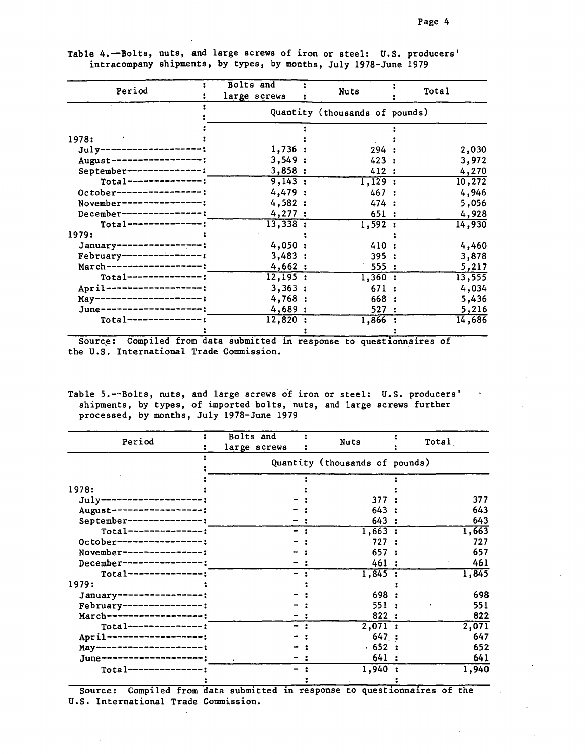$\hat{\mathbf{v}}$ 

| Table 4.--Bolts, nuts, and large screws of iron or steel: U.S. producers' |  |  |  |  |  |
|---------------------------------------------------------------------------|--|--|--|--|--|
| intracompany shipments, by types, by months, July 1978-June 1979          |  |  |  |  |  |

| Period                 | Bolts and    | <b>Nuts</b>                    | Total  |
|------------------------|--------------|--------------------------------|--------|
|                        | large screws |                                |        |
|                        |              | Quantity (thousands of pounds) |        |
|                        |              |                                |        |
| 1978:                  |              |                                |        |
| $July---$              | 1,736:       | 294:                           | 2,030  |
| August--------------   | 3,549:       | 423:                           | 3,972  |
| September-----------   | 3,858:       | 412:                           | 4,270  |
| $Total-----$           | 9,143:       | 1,129:                         | 10,272 |
| October--              | 4,479:       | 467:                           | 4,946  |
| November----           | 4,582:       | 474 :                          | 5,056  |
| $December---$          | 4,277:       | 651:                           | 4,928  |
| $Total-----$           | 13,338:      | 1,592:                         | 14,930 |
| 1979:                  |              |                                |        |
| January-               | 4,050:       | 410 :                          | 4,460  |
| February-------------- | 3,483:       | 395:                           | 3,878  |
| March--                | 4,662:       | 555 :                          | 5,217  |
| $Total-----$           | 12, 195:     | 1,360:                         | 13,555 |
| April-                 | 3,363:       | 671:                           | 4,034  |
| $May---$               | 4,768:       | 668:                           | 5,436  |
| $June---$              | 4,689:       | 527:                           | 5,216  |
| $Total-----$           | 12,820:      | 1,866:                         | 14,686 |
|                        |              |                                |        |

Source: Compiled from data submitted in response to questionnaires of the U.S. International Trade Commission.

Table 5.--Bolts, nuts, and large screws of iron shipments, by types, of imported bolts, nuts, processed, by months, July 1978-June 1979 or steel: U.S. producers' and large screws further

| Period               | Bolts and<br>large screws | Nuts                           | Total |
|----------------------|---------------------------|--------------------------------|-------|
|                      |                           | Quantity (thousands of pounds) |       |
|                      |                           |                                |       |
| 1978:                |                           |                                |       |
| July-                |                           | 377                            | 377   |
| August-------------  |                           | 643                            | 643   |
| September----------  |                           | 643:                           | 643   |
| $Total-----$         |                           | 1,663:                         | 1,663 |
| October------------- |                           | 727                            | 727   |
| November-            |                           | 657                            | 657   |
| December----         |                           | 461 :                          | 461   |
| $Total-----$         |                           | 1,845:                         | 1,845 |
| 1979:                |                           |                                |       |
| January-             |                           | 698                            | 698   |
| February--           |                           | 551                            | 551   |
| March--<br>--------  |                           | 822:                           | 822   |
| $Total-----$         |                           | 2,071                          | 2,071 |
| April-               |                           | 647:                           | 647   |
| May-                 |                           | .652:                          | 652   |
| June-                |                           | 641:                           | 641   |
| Total-               |                           | 1,940:                         | 1,940 |
|                      |                           |                                |       |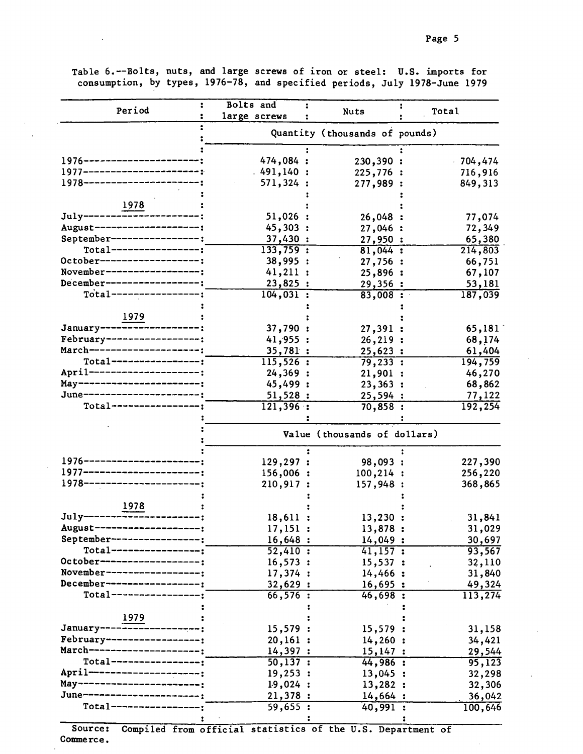$\hat{\boldsymbol{\beta}}$ 

Table 6.--Bolts, nuts, and large screws of iron or steel: U.S. imports for consumption, by types, 1976-78, and specified periods, July 1978-June 1979

 $\cdot$ 

| Period                                           | Bolts and          | Nuts                           | Total                          |
|--------------------------------------------------|--------------------|--------------------------------|--------------------------------|
|                                                  | large screws       |                                |                                |
|                                                  |                    | Quantity (thousands of pounds) |                                |
| $1976 - - - - - - - - - - -$                     | 474,084 :          | 230,390                        | $-704,474$<br>:                |
| 1977-----------------                            | .491,140:          | 225,776:                       | 716,916                        |
| $1978 - - - - - - - - - -$                       | 571,324 :          | 277,989:                       | 849,313                        |
|                                                  |                    |                                |                                |
| July------- <del>--------------</del> :          |                    |                                |                                |
|                                                  | 51,026:            | 26,048:                        | 77,074                         |
| August---------------                            | 45,303 :           | 27,046:                        | 72,349                         |
| September--------------                          | 37,430:            | 27,950:                        | 65,380                         |
| Total-----------------;                          | 133,759:           | 81,044:                        | 214,803                        |
| October---------------                           | 38,995:            | 27,756:                        | 66,751                         |
| November--------------                           | 41,211:            | 25,896:                        | 67,107                         |
| $December--------------$                         | 23,825:            | 29,356:                        | 53,181                         |
| $Total-----$                                     | 104,031:           | 83,008:                        | 187,039                        |
|                                                  |                    |                                |                                |
| <u>1979</u><br>January--                         | 37,790 :           | 27,391:                        |                                |
| February----------------                         | 41,955:            |                                | 65,181                         |
| March---------------------                       | 35,781:            | 26,219:<br>25,623:             | 68,174<br>61,404               |
| $Total-----$                                     | 115, 526:          | 79,233:                        | 194,759                        |
| April---------------------;                      | 24,369:            | 21,901                         | 46,270                         |
| May--------------------                          | 45,499 :           | 23,363:                        | $\ddot{\phantom{1}}$<br>68,862 |
| June--------------------                         | 51,528:            |                                |                                |
| $Total-----$                                     | 121,396:           | 25,594:<br>70,858:             | 77,122<br>192,254              |
|                                                  |                    |                                |                                |
|                                                  |                    | Value (thousands of dollars)   |                                |
|                                                  |                    |                                |                                |
| 1976-----------                                  | 129, 297:          | 98,093 :                       | 227,390                        |
| 1977--------------------                         | 156,006:           | $100, 214$ :                   | 256,220                        |
| 1978-------------------                          | 210,917:           | 157,948 :                      | 368,865                        |
|                                                  |                    |                                |                                |
| 1978                                             |                    |                                |                                |
| July-                                            | 18,611:            | 13,230:                        | 31,841                         |
| August                                           | 17,151:            | 13,878 :                       | 31,029                         |
| September--------------                          | 16,648:            | 14,049:                        | 30,697                         |
| Total--------------                              | 52,410:            | 41,157:                        | 93,567                         |
| October-----------------                         | 16,573:            | 15,537:                        | 32,110                         |
| November---------------                          | 17,374:            | 14,466:                        | 31,840                         |
| December---------------                          | 32,629:            | 16,695:                        | 49,324                         |
| $Total-----$                                     | 66,576:            | 46,698:                        | 113,274                        |
|                                                  |                    |                                |                                |
| 1979<br>January---- <del>-----</del> ----------- | 15,579:            |                                |                                |
| February-----------------;                       |                    | 15,579:                        | 31,158                         |
| March-------------------                         | 20,161:<br>14,397: | 14,260:                        | 34,421                         |
| Total-----------------                           |                    | 15,147:                        | 29,544                         |
| April ---------------------                      | 50, 137:           | 44,986:                        | 95,123                         |
| May-----------------------;                      | 19,253:            | 13,045:                        | 32,298                         |
| June-----------------------                      | 19,024:            | 13,282:                        | 32,306                         |
|                                                  | 21,378:            | 14,664:                        | 36,042                         |
| Total--------------                              | 59,655:            | 40,991:                        | 100,646                        |

Source: Compiled from official statistics of the U.S. Department of Commerce.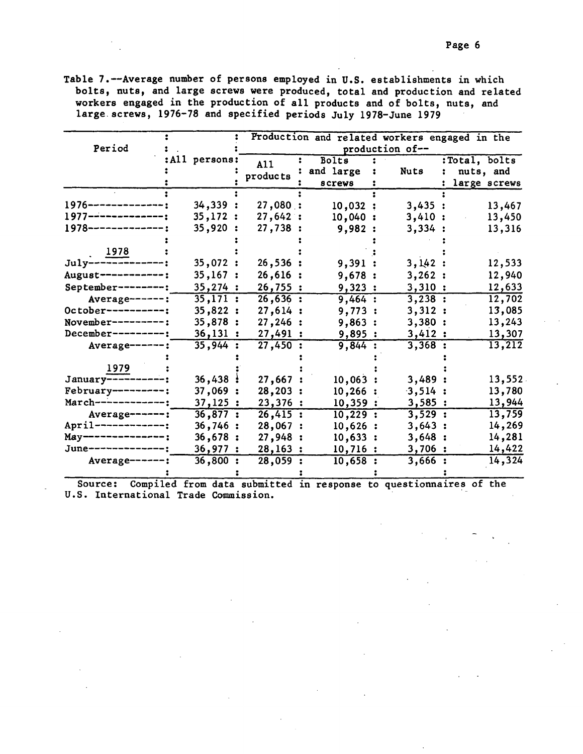Table 7.--Average number of persons employed in U.S. establishments in which bolts, nuts, and large screws were produced, total and production and related workers engaged in the production of all products and of bolts, nuts, and large.screws, 1976-78 and specified periods July 1978-June 1979

|                                      |                     |                 |              |                           | Production and related workers engaged in the |  |  |  |  |  |
|--------------------------------------|---------------------|-----------------|--------------|---------------------------|-----------------------------------------------|--|--|--|--|--|
| Period                               |                     | production of-- |              |                           |                                               |  |  |  |  |  |
|                                      | <b>All persons:</b> | A11             | <b>Bolts</b> | $2.5$ and $2.5$ and $2.5$ | :Total, bolts                                 |  |  |  |  |  |
|                                      |                     | products        | and large :  | <b>Nuts</b>               | nuts, and<br>$\ddot{\bullet}$                 |  |  |  |  |  |
|                                      |                     |                 | screws       |                           | : large screws                                |  |  |  |  |  |
|                                      |                     |                 |              |                           |                                               |  |  |  |  |  |
| $1976$ -------------:                | 34,339:             | 27,080:         | 10,032:      | 3,435:                    | 13,467                                        |  |  |  |  |  |
| 1977--------------:                  | 35,172:             | 27,642:         | 10,040:      | 3,410:                    | 13,450                                        |  |  |  |  |  |
| 1978-------------;                   | 35,920:             | 27,738:         | 9,982:       | 3,334:                    | 13,316                                        |  |  |  |  |  |
|                                      |                     |                 |              |                           |                                               |  |  |  |  |  |
|                                      |                     |                 |              |                           |                                               |  |  |  |  |  |
| $\frac{1978}{\text{July--------}}$ : | 35,072:             | 26,536:         | 9,391 :      | 3,142:                    | 12,533                                        |  |  |  |  |  |
| August-----------:                   | 35,167:             | 26,616:         | 9,678:       | 3,262:                    | 12,940                                        |  |  |  |  |  |
| September--------:                   | 35,274:             | 26,755:         | 9,323:       | 3,310:                    | 12,633                                        |  |  |  |  |  |
| Average------:                       | 35,171:             | 26,636:         | 9,464:       | 3,238:                    | 12,702                                        |  |  |  |  |  |
| October ----------:                  | 35,822:             | 27,614:         | 9,773:       | 3,312:                    | 13,085                                        |  |  |  |  |  |
| November---------:                   | 35,878:             | 27,246:         | 9,863:       | 3,380:                    | 13,243                                        |  |  |  |  |  |
| $December-----$                      | 36,131:             | 27,491:         | 9,895:       | 3,412:                    | 13,307                                        |  |  |  |  |  |
| Average------:                       | 35,944:             | 27,450:         | 9,844:       | 3,368:                    | 13,212                                        |  |  |  |  |  |
|                                      |                     |                 |              |                           |                                               |  |  |  |  |  |
| 1979                                 |                     |                 |              |                           |                                               |  |  |  |  |  |
| $January^{-----}$                    | 36,438:             | 27,667:         | 10,063:      | 3,489:                    | 13,552                                        |  |  |  |  |  |
| $February-----$                      | 37,069:             | 28,203:         | 10,266:      | 3,514:                    | 13,780                                        |  |  |  |  |  |
| $March---------:$                    | 37,125:             | 23,376:         | 10,359:      | 3,585:                    | 13,944                                        |  |  |  |  |  |
| Average ------:                      | 36,877:             | 26,415:         | 10,229:      | 3,529:                    | 13,759                                        |  |  |  |  |  |
| April-------------:                  | 36,746:             | 28,067:         | 10,626:      | 3,643:                    | 14,269                                        |  |  |  |  |  |
| May--------------:                   | 36,678:             | 27,948:         | 10,633:      | 3,648:                    | 14,281                                        |  |  |  |  |  |
| June--------------;                  | 36,977:             | 28,163:         | 10,716:      | 3,706:                    | 14,422                                        |  |  |  |  |  |
| Average------:                       | 36,800:             | $28,059$ :      | 10,658:      | 3,666:                    | 14,324                                        |  |  |  |  |  |
|                                      |                     |                 |              |                           |                                               |  |  |  |  |  |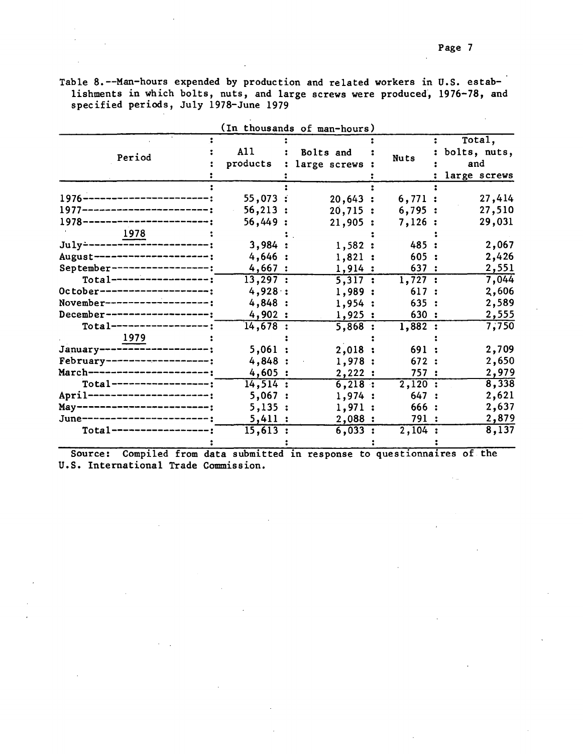Table 8.--Man-hours expended by production and related workers in U.S. establishments in which bolts, nuts, and large screws were produced, 1976-78, and specified periods, July 1978-June 1979

|                                    |                       | (In thousands of man-hours) |        |              |
|------------------------------------|-----------------------|-----------------------------|--------|--------------|
|                                    |                       |                             |        | Total,       |
| Period                             | A11                   | Bolts and                   | Nuts   | bolts, nuts, |
|                                    | products              | large screws                |        | and          |
|                                    |                       |                             |        | large screws |
|                                    |                       |                             |        |              |
| 1976------------------------       | 55,073:               | 20,643:                     | 6,771: | 27,414       |
| 1977------------------------;      | 56,213:               | 20,715:                     | 6,795: | 27,510       |
| 1978--------------------           | 56,449:               | 21,905:                     | 7,126: | 29,031       |
| $July$ --------------------------- |                       |                             |        |              |
|                                    | 3,984:                | 1,582:                      | 485 :  | 2,067        |
| August--------------------         | 4,646:                | 1,821:                      | 605:   | 2,426        |
| September-----------------:        | 4,667:                | 1,914:                      | 637:   | 2,551        |
| $Total-----$                       | 13, 297:              | 5,317:                      | 1,727: | 7,044        |
| October-----------------           | 4,928:                | 1,989:                      | 617:   | 2,606        |
| November-----------------          | 4,848:                | 1,954:                      | 635:   | 2,589        |
| December-----------------          | 4,902:                | 1,925:                      | 630:   | 2,555        |
| $Total-----$                       | 14,678:               | 5,868:                      | 1,882: | 7,750        |
| <u> 1979 </u>                      |                       |                             |        |              |
| -----------------;<br>January---   | 5,061:                | 2,018:                      | 691:   | 2,709        |
| February-------------------;       | 4,848:                | 1,978:                      | 672:   | 2,650        |
| March--------------------          | 4,605:                | 2,222:                      | 757 :  | 2,979        |
| $Total-----$                       | 14,514:               | 6,218:                      | 2,120: | 8,338        |
| April-------------------           | 5,067:                | 1,974:                      | 647:   | 2,621        |
| May------------------------        | 5,135:                | 1,971:                      | 666 :  | 2,637        |
| June--------------------           | 5,411:                | 2,088:                      | 791 :  | 2,879        |
| $Total-----$                       | $\overline{15,613}$ : | 6,033:                      | 2,104: | 8,137        |
|                                    |                       |                             |        |              |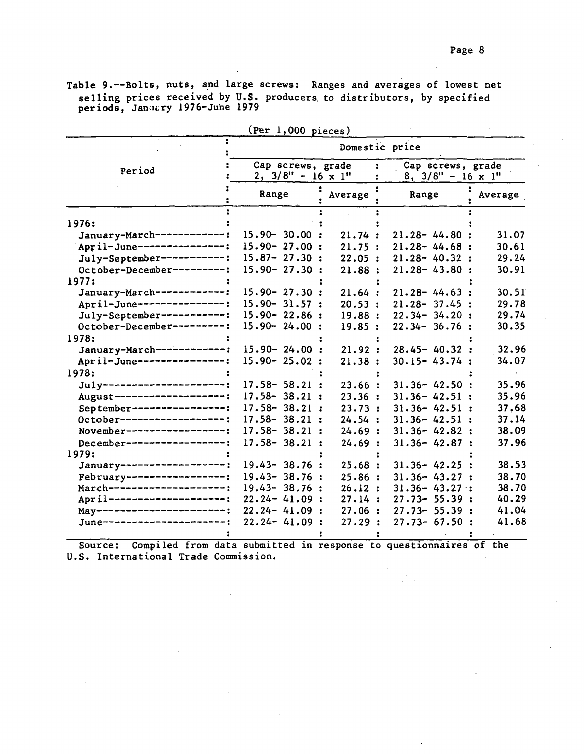Table 9.--Bolts, nuts, and large screws: Ranges and averages of lowest net selling prices received by U.S. producers to distributors, by specified periods, Janaary 1976-June 1979

|                              |                                        |  |         |                      | Domestic price                                |         |
|------------------------------|----------------------------------------|--|---------|----------------------|-----------------------------------------------|---------|
| Period                       | Cap screws, grade<br>$2, 3/8" - 16x1"$ |  |         | $\ddot{\phantom{a}}$ | Cap screws, grade<br>$8, 3/8" - 16 \times 1"$ |         |
|                              | Range                                  |  | Average |                      | Range                                         | Average |
|                              |                                        |  |         |                      |                                               |         |
| 1976:                        |                                        |  |         |                      |                                               |         |
| January-March------------:   | $15.90 - 30.00$ :                      |  | 21.74:  |                      | $21.28 - 44.80$ :                             | 31.07   |
| April-June---------------    | $15.90 - 27.00$ :                      |  | 21.75:  |                      | $21.28 - 44.68$ :                             | 30.61   |
| July-September-----------:   | $15.87 - 27.30$ :                      |  | 22.05:  |                      | $21.28 - 40.32$ :                             | 29.24   |
| October-December----------:  | $15.90 - 27.30$ :                      |  | 21.88:  |                      | $21.28 - 43.80:$                              | 30.91   |
| 1977:                        |                                        |  |         |                      |                                               |         |
| January-March-------------:  | $15.90 - 27.30$ :                      |  | 21.64:  |                      | $21.28 - 44.63$ :                             | 30.51   |
| April-June---------------:   | $15.90 - 31.57$ :                      |  | 20.53:  |                      | $21.28 - 37.45$ :                             | 29.78   |
| July-September-----------:   | $15.90 - 22.86$ :                      |  | 19.88:  |                      | $22.34 - 34.20$ :                             | 29.74   |
| October-December---------:   | $15.90 - 24.00$ :                      |  | 19.85:  |                      | $22.34 - 36.76$ :                             | 30.35   |
| 1978:                        |                                        |  |         |                      |                                               |         |
| January-March -------------: | $15.90 - 24.00$ :                      |  | 21.92:  |                      | $28.45 - 40.32$ :                             | 32.96   |
| April-June---------------:   | $15.90 - 25.02$ :                      |  | 21.38:  |                      | $30.15 - 43.74$ :                             | 34.07   |
| 1978:                        |                                        |  |         |                      |                                               |         |
| July----------------------;  | $17.58 - 58.21$ :                      |  | 23.66:  |                      | $31.36 - 42.50$ :                             | 35.96   |
| August--------------------;  | $17.58 - 38.21$ :                      |  | 23.36:  |                      | $31.36 - 42.51$ :                             | 35.96   |
| September -----------------; | $17.58 - 38.21$ :                      |  | 23.73:  |                      | $31.36 - 42.51$ :                             | 37.68   |
| October-------------------:  | $17.58 - 38.21$ :                      |  | 24.54:  |                      | $31.36 - 42.51$ :                             | 37.14   |
| November------------------:  | $17.58 - 38.21$ :                      |  | 24.69:  |                      | $31.36 - 42.82$ :                             | 38.09   |
| December-------------------  | $17.58 - 38.21$ :                      |  | 24.69:  |                      | $31.36 - 42.87:$                              | 37.96   |
| 1979:                        |                                        |  |         |                      |                                               |         |
| January-------------------:  | $19.43 - 38.76$ :                      |  | 25.68:  |                      | $31.36 - 42.25$ :                             | 38.53   |
| February------------------;  | $19.43 - 38.76$ :                      |  | 25.86:  |                      | $31.36 - 43.27$ :                             | 38.70   |
| March---------------------;  | $19.43 - 38.76$ :                      |  | 26.12:  |                      | $31.36 - 43.27$ :                             | 38.70   |
| April---------------------;  | $22.24 - 41.09$ :                      |  | 27.14:  |                      | $27.73 - 55.39:$                              | 40.29   |
| May-----------------------:  | $22.24 - 41.09:$                       |  | 27.06:  |                      | $27.73 - 55.39:$                              | 41.04   |
| June-----------------------  | $22.24 - 41.09$ :                      |  | 27.29:  |                      | $27.73 - 67.50$ :                             | 41.68   |
|                              |                                        |  |         |                      |                                               |         |

(Per 1,000 pieces)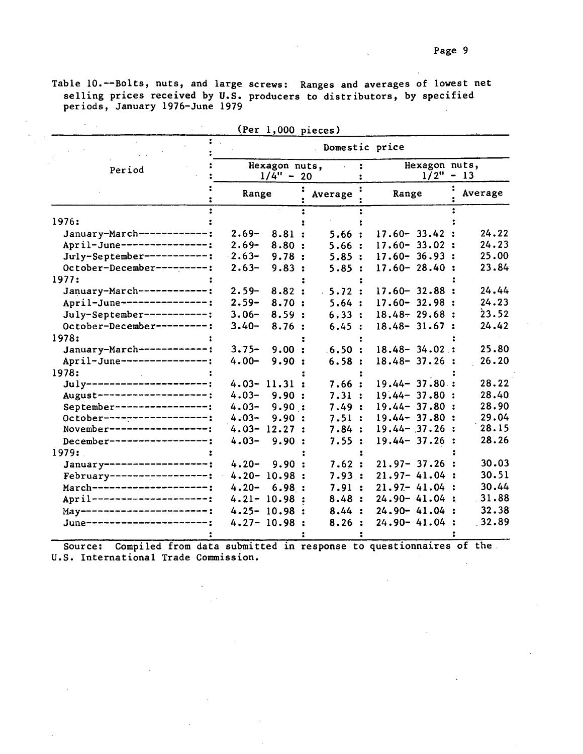Table 10.--Bolts, nuts, and large screws: Ranges and averages of lowest net selling prices received by U.S. producers to distributors, by specified periods, January 1976-June 1979

|                               |                                     | (Per 1,000 pieces) |  |         |  |                   |  |             |  |  |
|-------------------------------|-------------------------------------|--------------------|--|---------|--|-------------------|--|-------------|--|--|
|                               | Domestic price                      |                    |  |         |  |                   |  |             |  |  |
| Period                        | Hexagon nuts,<br>$1/\bar{4}$ " - 20 |                    |  |         |  | Hexagon nuts,     |  | $1/2" - 13$ |  |  |
|                               | Range                               |                    |  | Average |  | Range             |  | Average     |  |  |
| 1976:                         |                                     |                    |  |         |  |                   |  |             |  |  |
|                               | $2.69-$                             |                    |  |         |  |                   |  | 24.22       |  |  |
| January-March------------:    |                                     | 8.81:              |  | 5.66:   |  | $17.60 - 33.42$ : |  | 24.23       |  |  |
| April-June---------------:    | $2.69 -$                            | 8.80:              |  | 5.66:   |  | $17.60 - 33.02$ : |  |             |  |  |
| July-September-----------;    | $-2.63-$                            | 9.78:              |  | 5.85:   |  | $17.60 - 36.93$ : |  | 25.00       |  |  |
| October-December---------:    | $2.63-$                             | 9.83:              |  | 5.85:   |  | $17.60 - 28.40$ : |  | 23.84       |  |  |
| 1977:                         |                                     |                    |  |         |  |                   |  |             |  |  |
| January-March -------------:  | $2.59 -$                            | 8.82 :             |  | .5.72:  |  | $17.60 - 32.88$ : |  | 24.44       |  |  |
| April-June---------------;    | $2.59 -$                            | 8.70:              |  | 5.64:   |  | $17.60 - 32.98$ : |  | 24.23       |  |  |
| July-September-----------:    | $3.06 -$                            | 8.59:              |  | 6.33:   |  | $18.48 - 29.68$ : |  | 23.52       |  |  |
| October-December---------:    | $3.40 -$                            | 8.76:              |  | 6.45:   |  | $18.48 - 31.67$ : |  | 24.42       |  |  |
| 1978:                         |                                     |                    |  |         |  |                   |  |             |  |  |
| January-March-------------:   | $3.75 -$                            | 9.00:              |  | .6.50:  |  | $18.48 - 34.02$ : |  | 25.80       |  |  |
| April-June---------------:    | $4.00 -$                            | 9.90:              |  | 6.58:   |  | $18.48 - 37.26$ : |  | 26.20       |  |  |
| 1978:                         |                                     |                    |  |         |  |                   |  |             |  |  |
| July-----------------------   |                                     | $4.03 - 11.31$ :   |  | 7.66:   |  | $19.44 - 37.80:$  |  | 28.22       |  |  |
| August--------------------;   | $4.03 -$                            | 9.90:              |  | 7.31:   |  | $19.44 - 37.80:$  |  | 28.40       |  |  |
| September-----------------;   | $4.03 -$                            | 9.90:              |  | 7.49:   |  | $19.44 - 37.80:$  |  | 28.90       |  |  |
| 0ctober--------------------   | $4.03 -$                            | 9.90:              |  | 7.51:   |  | $19.44 - 37.80$ : |  | 29.04       |  |  |
| November------------------:   |                                     | $4.03 - 12.27$ :   |  | 7.84:   |  | $19.44 - 37.26$ : |  | 28.15       |  |  |
| December-------------------   | $4.03 -$                            | 9.90:              |  | 7.55:   |  | $19.44 - 37.26$ : |  | 28.26       |  |  |
| 1979:                         |                                     |                    |  |         |  |                   |  |             |  |  |
| January -------------------;  | $4.20 -$                            | 9.90:              |  | 7.62:   |  | $21.97 - 37.26$ : |  | 30.03       |  |  |
| February-------------------:  |                                     | $4.20 - 10.98:$    |  | 7.93:   |  | $21.97 - 41.04$ : |  | 30.51       |  |  |
| March----------------------   | $4.20 -$                            | 6.98:              |  | 7.91:   |  | $21.97 - 41.04$ : |  | 30.44       |  |  |
| April ----------------------; |                                     | $4.21 - 10.98:$    |  | 8.48:   |  | $24.90 - 41.04:$  |  | 31.88       |  |  |
| May-----------------------;   |                                     | $4.25 - 10.98:$    |  | 8.44:   |  | $24.90 - 41.04$ : |  | 32.38       |  |  |
| June-----------------------   |                                     | 4.27- 10.98 :      |  | 8.26:   |  | $24.90 - 41.04:$  |  | .32.89      |  |  |
|                               |                                     |                    |  |         |  |                   |  |             |  |  |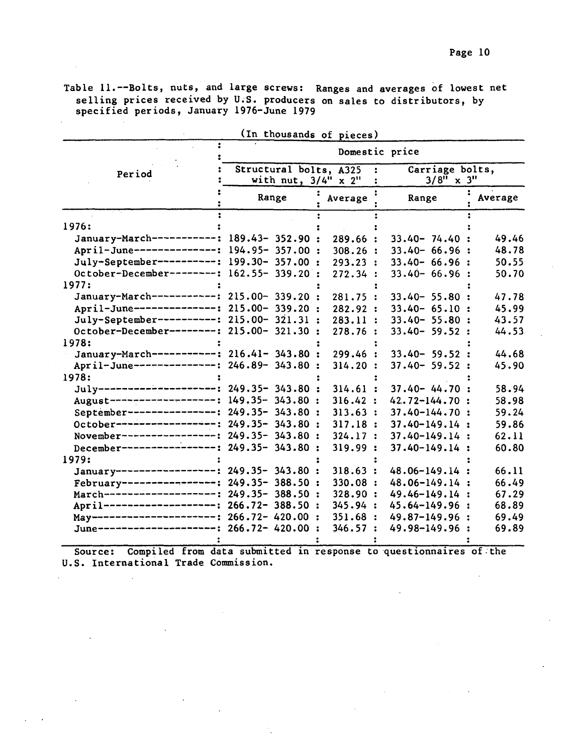Page 10

Table 11.--Bolts, nuts, and large screws: Ranges and averages of lowest net selling prices received by U.S. producers on sales to distributors, by specified periods, January 1976-June 1979

|                                             |                                                                          |  | (In thousands of pieces) |                                    |                    |         |
|---------------------------------------------|--------------------------------------------------------------------------|--|--------------------------|------------------------------------|--------------------|---------|
|                                             | Domestic price                                                           |  |                          |                                    |                    |         |
| Period                                      | Structural bolts, A325<br>$\ddot{\phantom{a}}$<br>with nut, $3/4$ " x 2" |  |                          | Carriage bolts,<br>$3/8$ " x $3$ " |                    |         |
|                                             | Range                                                                    |  | Average                  |                                    | Range              | Average |
| 1976:                                       |                                                                          |  |                          |                                    |                    |         |
| January-March-----------: 189.43- 352.90 :  |                                                                          |  |                          |                                    | $33.40 - 74.40$ :  | 49.46   |
| April-June--------------: 194.95- 357.00 :  |                                                                          |  | 289.66 :                 |                                    |                    | 48.78   |
| July-September----------: 199.30- 357.00 :  |                                                                          |  | 308.26:                  |                                    | $33.40 - 66.96:$   |         |
| October-December--------: 162.55- 339.20 :  |                                                                          |  | 293.23:                  |                                    | $33.40 - 66.96:$   | 50.55   |
| 1977:                                       |                                                                          |  | 272.34:                  |                                    | $33.40 - 66.96:$   | 50.70   |
| January-March-----------: 215.00- 339.20 :  |                                                                          |  | 281.75:                  |                                    | $33.40 - 55.80:$   | 47.78   |
| April-June--------------: 215.00- 339.20 :  |                                                                          |  | 282.92 :                 |                                    | $33.40 - 65.10$ :  | 45.99   |
| July-September----------: 215.00- 321.31 :  |                                                                          |  | 283.11 :                 |                                    | $33.40 - 55.80$ :  | 43.57   |
| October-December--------: 215.00- 321.30 :  |                                                                          |  | 278.76:                  |                                    | $33.40 - 59.52$ :  | 44.53   |
| 1978:                                       |                                                                          |  |                          |                                    |                    |         |
| January-March-----------: 216.41- 343.80 :  |                                                                          |  | 299.46 :                 |                                    | $33.40 - 59.52$ :  | 44.68   |
| April-June--------------: 246.89- 343.80 :  |                                                                          |  | 314.20:                  |                                    | $37.40 - 59.52$ :  | 45.90   |
| 1978:                                       |                                                                          |  |                          |                                    |                    |         |
| July--------------------: 249.35- 343.80 :  |                                                                          |  | 314.61:                  |                                    | $37.40 - 44.70$ :  | 58.94   |
| August------------------: 149.35- 343.80 :  |                                                                          |  | 316.42:                  |                                    | $42.72 - 144.70:$  | 58.98   |
| September---------------: 249.35- 343.80 :  |                                                                          |  | 313.63:                  |                                    | $37.40 - 144.70$ : | 59.24   |
| October-----------------: 249.35- 343.80 :  |                                                                          |  | 317.18:                  |                                    | $37.40 - 149.14$ : | 59.86   |
| November------------------:                 | $249.35 - 343.80:$                                                       |  | 324.17:                  |                                    | $37.40 - 149.14$ : | 62.11   |
| December-----------------;                  | $249.35 - 343.80:$                                                       |  | 319.99:                  |                                    | $37.40 - 149.14$ : | 60.80   |
| 1979:                                       |                                                                          |  |                          |                                    |                    |         |
| January-----------------: 249.35- 343.80 :  |                                                                          |  | 318.63:                  |                                    | $48.06 - 149.14$ : | 66.11   |
| February-----------------: 249.35- 388.50 : |                                                                          |  | 330.08:                  |                                    | $48.06 - 149.14$ : | 66.49   |
| March-------------------: 249.35- 388.50 :  |                                                                          |  | 328.90:                  |                                    | $49.46 - 149.14$ : | 67.29   |
| April--------------------: 266.72- 388.50 : |                                                                          |  | 345.94:                  |                                    | $45.64 - 149.96:$  | 68.89   |
| May----------------------: 266.72- 420.00 : |                                                                          |  | 351.68:                  |                                    | $49.87 - 149.96:$  | 69.49   |
| June--------------------: 266.72- 420.00 :  |                                                                          |  | 346.57:                  |                                    | 49.98-149.96 :     | 69.89   |
|                                             |                                                                          |  |                          |                                    |                    |         |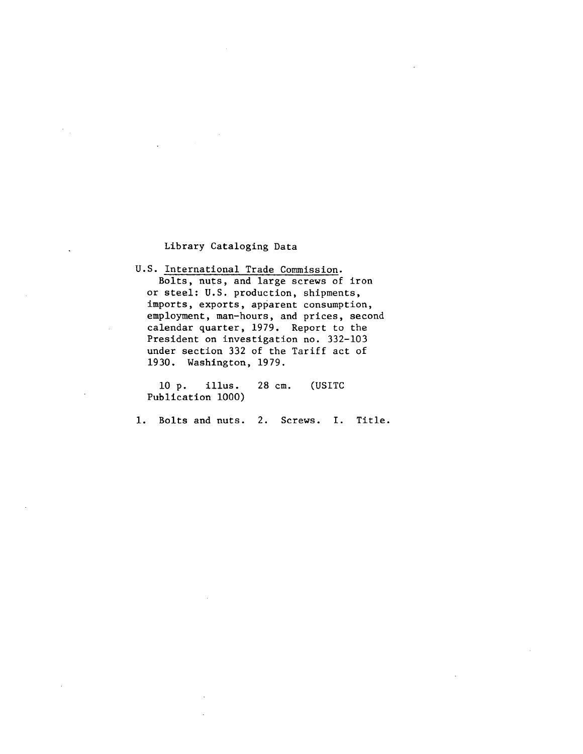### Library Cataloging Data

U.S. International Trade Commission. Bolts, nuts, and large screws of iron or steel: U.S. production, shipments, imports, exports, apparent consumption, employment, man-hours, and prices, second calendar quarter, 1979. Report to the President on investigation no. 332-103 under section 332 of the Tariff act of 1930. Washington, 1979.

10 p. illus. 28 cm. (USITC Publication 1000)

1. Bolts and nuts. 2. Screws. I. Title.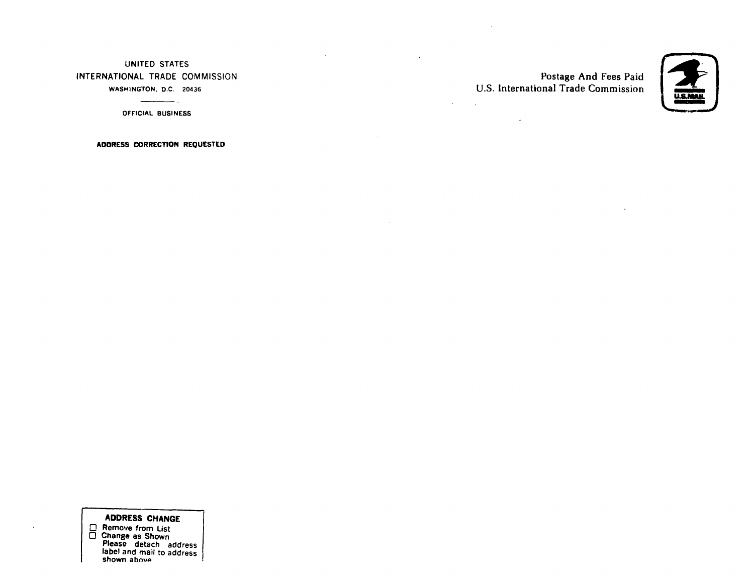### UNITED STATES INTERNATIONAL TRADE COMMISSION WASHING'fON. O.C. 20436

 $\begin{minipage}{0.5\linewidth} \begin{tabular}{l} \hline \textbf{r} & \textbf{r} \\ \textbf{r} & \textbf{r} \\ \textbf{r} & \textbf{r} \end{tabular} \end{minipage} \begin{minipage}{0.5\linewidth} \begin{tabular}{l} \hline \textbf{r} \\ \textbf{r} \end{tabular} \end{minipage} \begin{minipage}{0.5\linewidth} \begin{tabular}{l} \hline \textbf{r} \\ \textbf{r} \end{tabular} \end{minipage} \end{minipage} \begin{minipage}{0.5\linewidth} \begin{tabular}{l} \hline \textbf{r} \\ \textbf{$ OFFICIAL BUSINESS

ADDRESS CORRECTION REQUESTED

# Postage And Fees Paid U.S. International Trade Commission



 $\epsilon$ 

 $\sim$ 

 $\sim 100$ 

### ADDRESS CHANGE

O Remcve from List

O Change as Shown Please detach address label and mail to address<br>shown above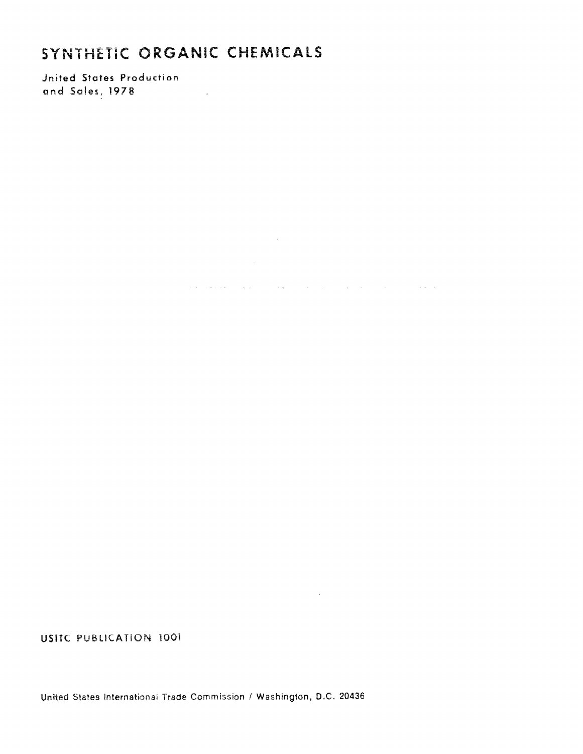# SYNTHETIC ORGANIC CHEMICALS

where the contract of the contract of the contract of the contract of the contract of the contract of the contract of the contract of the contract of the contract of the contract of the contract of the contract of the con

 $\sim 10^{11}$  km s  $^{-1}$ 

Jnited States Production and Sales, 1978 

USITC PUBLICATiON iOOi